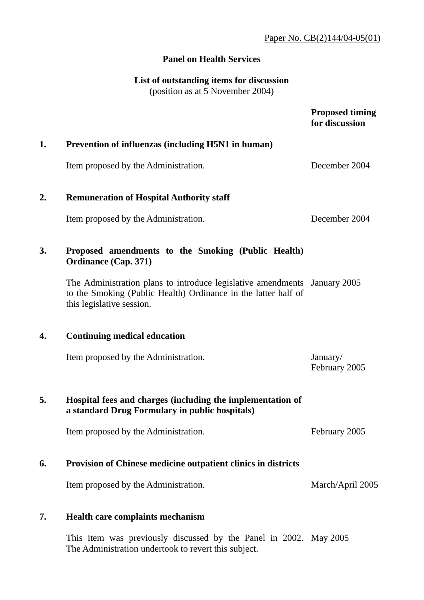## **Panel on Health Services**

# **List of outstanding items for discussion**  (position as at 5 November 2004)

|                  |                                                                                                                                                                          | <b>Proposed timing</b><br>for discussion |
|------------------|--------------------------------------------------------------------------------------------------------------------------------------------------------------------------|------------------------------------------|
| 1.               | <b>Prevention of influenzas (including H5N1 in human)</b>                                                                                                                |                                          |
|                  | Item proposed by the Administration.                                                                                                                                     | December 2004                            |
| $\overline{2}$ . | <b>Remuneration of Hospital Authority staff</b>                                                                                                                          |                                          |
|                  | Item proposed by the Administration.                                                                                                                                     | December 2004                            |
| 3.               | Proposed amendments to the Smoking (Public Health)<br><b>Ordinance (Cap. 371)</b>                                                                                        |                                          |
|                  | The Administration plans to introduce legislative amendments January 2005<br>to the Smoking (Public Health) Ordinance in the latter half of<br>this legislative session. |                                          |
| 4.               | <b>Continuing medical education</b>                                                                                                                                      |                                          |
|                  | Item proposed by the Administration.                                                                                                                                     | January/<br>February 2005                |
| 5.               | Hospital fees and charges (including the implementation of<br>a standard Drug Formulary in public hospitals)                                                             |                                          |
|                  | Item proposed by the Administration.                                                                                                                                     | February 2005                            |
| 6.               | <b>Provision of Chinese medicine outpatient clinics in districts</b>                                                                                                     |                                          |
|                  | Item proposed by the Administration.                                                                                                                                     | March/April 2005                         |
| 7.               | <b>Health care complaints mechanism</b>                                                                                                                                  |                                          |
|                  | This item was previously discussed by the Panel in 2002. May 2005<br>The Administration undertook to revert this subject.                                                |                                          |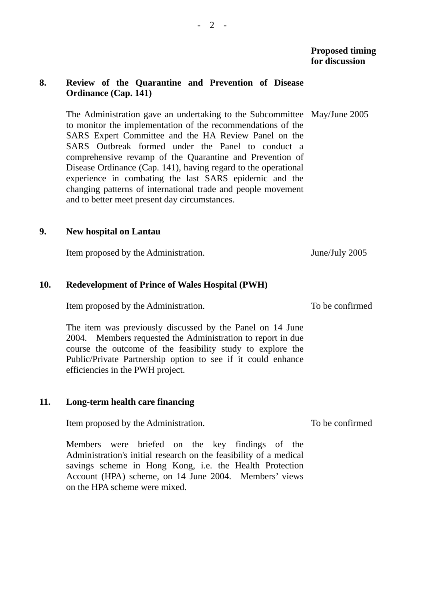## **8. Review of the Quarantine and Prevention of Disease Ordinance (Cap. 141)**

The Administration gave an undertaking to the Subcommittee May/June 2005 to monitor the implementation of the recommendations of the SARS Expert Committee and the HA Review Panel on the SARS Outbreak formed under the Panel to conduct a comprehensive revamp of the Quarantine and Prevention of Disease Ordinance (Cap. 141), having regard to the operational experience in combating the last SARS epidemic and the changing patterns of international trade and people movement and to better meet present day circumstances.

#### **9. New hospital on Lantau**

Item proposed by the Administration. June/July 2005

### **10. Redevelopment of Prince of Wales Hospital (PWH)**

Item proposed by the Administration.

The item was previously discussed by the Panel on 14 June 2004. Members requested the Administration to report in due course the outcome of the feasibility study to explore the Public/Private Partnership option to see if it could enhance efficiencies in the PWH project.

#### **11. Long-term health care financing**

Item proposed by the Administration.

Members were briefed on the key findings of the Administration's initial research on the feasibility of a medical savings scheme in Hong Kong, i.e. the Health Protection Account (HPA) scheme, on 14 June 2004. Members' views on the HPA scheme were mixed.

To be confirmed

To be confirmed